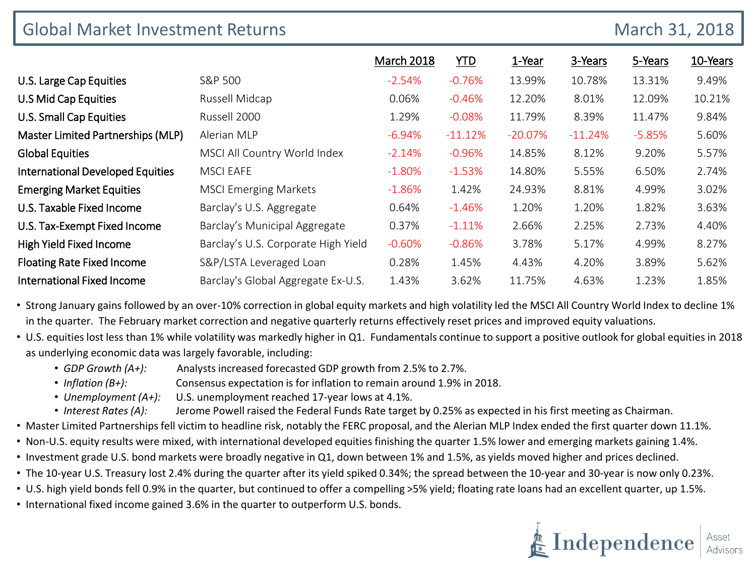| <b>Global Market Investment Returns</b><br>March 31, 2018 |                                     |                   |            |           |           |          |          |
|-----------------------------------------------------------|-------------------------------------|-------------------|------------|-----------|-----------|----------|----------|
|                                                           |                                     | <b>March 2018</b> | <b>YTD</b> | 1-Year    | 3-Years   | 5-Years  | 10-Years |
| U.S. Large Cap Equities                                   | S&P 500                             | $-2.54%$          | $-0.76%$   | 13.99%    | 10.78%    | 13.31%   | 9.49%    |
| U.S Mid Cap Equities                                      | Russell Midcap                      | 0.06%             | $-0.46\%$  | 12.20%    | 8.01%     | 12.09%   | 10.21%   |
| <b>U.S. Small Cap Equities</b>                            | Russell 2000                        | 1.29%             | $-0.08%$   | 11.79%    | 8.39%     | 11.47%   | 9.84%    |
| Master Limited Partnerships (MLP)                         | Alerian MLP                         | $-6.94%$          | $-11.12%$  | $-20.07%$ | $-11.24%$ | $-5.85%$ | 5.60%    |
| <b>Global Equities</b>                                    | MSCI All Country World Index        | $-2.14%$          | $-0.96%$   | 14.85%    | 8.12%     | 9.20%    | 5.57%    |
| <b>International Developed Equities</b>                   | <b>MSCI EAFE</b>                    | $-1.80%$          | $-1.53%$   | 14.80%    | 5.55%     | 6.50%    | 2.74%    |
| <b>Emerging Market Equities</b>                           | <b>MSCI Emerging Markets</b>        | $-1.86%$          | 1.42%      | 24.93%    | 8.81%     | 4.99%    | 3.02%    |
| U.S. Taxable Fixed Income                                 | Barclay's U.S. Aggregate            | 0.64%             | $-1.46%$   | 1.20%     | 1.20%     | 1.82%    | 3.63%    |
| U.S. Tax-Exempt Fixed Income                              | Barclay's Municipal Aggregate       | 0.37%             | $-1.11%$   | 2.66%     | 2.25%     | 2.73%    | 4.40%    |
| <b>High Yield Fixed Income</b>                            | Barclay's U.S. Corporate High Yield | $-0.60%$          | $-0.86%$   | 3.78%     | 5.17%     | 4.99%    | 8.27%    |
| <b>Floating Rate Fixed Income</b>                         | S&P/LSTA Leveraged Loan             | 0.28%             | 1.45%      | 4.43%     | 4.20%     | 3.89%    | 5.62%    |
| <b>International Fixed Income</b>                         | Barclay's Global Aggregate Ex-U.S.  | 1.43%             | 3.62%      | 11.75%    | 4.63%     | 1.23%    | 1.85%    |

• Strong January gains followed by an over-10% correction in global equity markets and high volatility led the MSCI All Country World Index to decline 1% in the quarter. The February market correction and negative quarterly returns effectively reset prices and improved equity valuations.

• U.S. equities lost less than 1% while volatility was markedly higher in Q1. Fundamentals continue to support a positive outlook for global equities in 2018 as underlying economic data was largely favorable, including:

- *GDP Growth (A+):* Analysts increased forecasted GDP growth from 2.5% to 2.7%.
- *Inflation (B+):* Consensus expectation is for inflation to remain around 1.9% in 2018.
- *Unemployment (A+):* U.S. unemployment reached 17-year lows at 4.1%.
- *Interest Rates (A):* Jerome Powell raised the Federal Funds Rate target by 0.25% as expected in his first meeting as Chairman.
- Master Limited Partnerships fell victim to headline risk, notably the FERC proposal, and the Alerian MLP Index ended the first quarter down 11.1%.
- Non-U.S. equity results were mixed, with international developed equities finishing the quarter 1.5% lower and emerging markets gaining 1.4%.
- Investment grade U.S. bond markets were broadly negative in Q1, down between 1% and 1.5%, as yields moved higher and prices declined.
- The 10-year U.S. Treasury lost 2.4% during the quarter after its yield spiked 0.34%; the spread between the 10-year and 30-year is now only 0.23%.
- U.S. high yield bonds fell 0.9% in the quarter, but continued to offer a compelling >5% yield; floating rate loans had an excellent quarter, up 1.5%.
- International fixed income gained 3.6% in the quarter to outperform U.S. bonds.